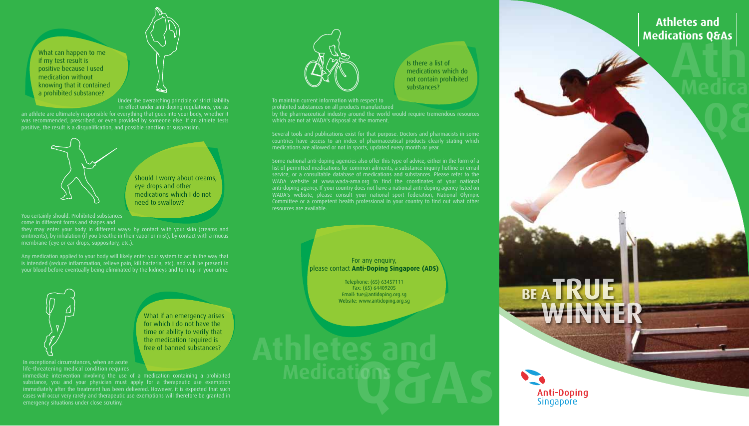**Athletes Athletes and Medications Q&As**

**Q&As**

**Medica** 

What can happen to me if my test result is positive because I used medication without knowing that it contained a prohibited substance?

Under the overarching principle of strict liability in effect under anti-doping regulations, you as

an athlete are ultimately responsible for everything that goes into your body, whether it was recommended, prescribed, or even provided by someone else. If an athlete tests positive, the result is a disqualification, and possible sanction or suspension.



Should I worry about creams, eye drops and other medications which I do not need to swallow?

You certainly should. Prohibited substances come in different forms and shapes and

they may enter your body in different ways: by contact with your skin (creams and ointments), by inhalation (if you breathe in their vapor or mist), by contact with a mucus membrane (eye or ear drops, suppository, etc.).

Any medication applied to your body will likely enter your system to act in the way that is intended (reduce inflammation, relieve pain, kill bacteria, etc), and will be present in your blood before eventually being eliminated by the kidneys and turn up in your urine.



What if an emergency arises for which I do not have the time or ability to verify that the medication required is free of banned substances?

In exceptional circumstances, when an acute life-threatening medical condition requires

substance, you and your physician must apply for a therapeutic use exemption immediately after the treatment has been delivered. However, it is expected that such cases will occur very rarely and therapeutic use exemptions will therefore be granted in emergency situations under close scrutiny.



Is there a list of medications which do not contain prohibited substances?

**BE A** 

**WINNER**

**TRUE**

**Anti-Doping** Singapore

To maintain current information with respect to prohibited substances on all products manufactured

by the pharmaceutical industry around the world would require tremendous resources which are not at WADA's disposal at the moment.

Several tools and publications exist for that purpose. Doctors and pharmacists in some countries have access to an index of pharmaceutical products clearly stating which medications are allowed or not in sports, updated every month or year.

Some national anti-doping agencies also offer this type of advice, either in the form of a list of permitted medications for common ailments, a substance inquiry hotline or email service, or a consultable database of medications and substances. Please refer to the WADA website at www.wada-ama.org to find the coordinates of your national anti-doping agency. If your country does not have a national anti-doping agency listed on WADA's website, please consult your national sport federation, National Olympic resources are available.

> For any enquiry, please contact **Anti-Doping Singapore (ADS)**

> > Telephone: (65) 63457111 Fax: (65) 64409205 Email: tue@antidoping.org.sg Website: www.antidoping.org.sg

Medications **& AS**